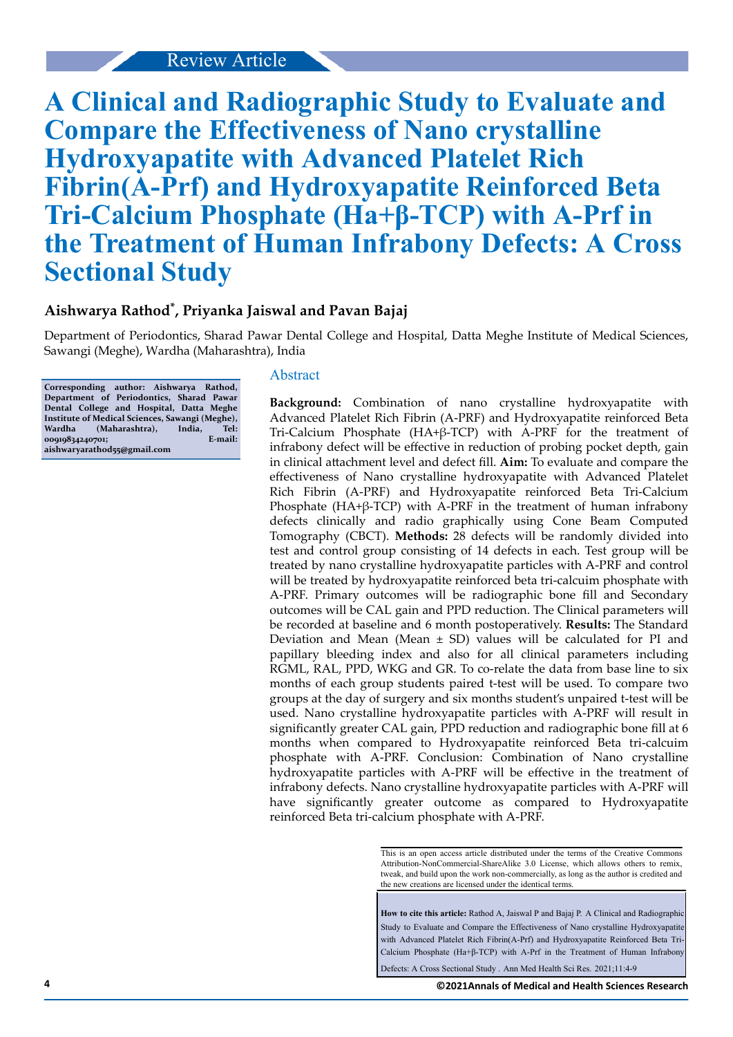# Review Article

# **A Clinical and Radiographic Study to Evaluate and Compare the Effectiveness of Nano crystalline Hydroxyapatite with Advanced Platelet Rich Fibrin(A-Prf) and Hydroxyapatite Reinforced Beta Tri-Calcium Phosphate (Ha+β-TCP) with A-Prf in the Treatment of Human Infrabony Defects: A Cross Sectional Study**

# **Aishwarya Rathod\* , Priyanka Jaiswal and Pavan Bajaj**

Department of Periodontics, Sharad Pawar Dental College and Hospital, Datta Meghe Institute of Medical Sciences, Sawangi (Meghe), Wardha (Maharashtra), India

**Corresponding author: Aishwarya Rathod, Department of Periodontics, Sharad Pawar Dental College and Hospital, Datta Meghe Institute of Medical Sciences, Sawangi (Meghe),** (Maharashtra), India, Tel:<br><sup>10701</sup>; E-mail: 00919834240701; **aishwaryarathod55@gmail.com**

#### Abstract

**Background:** Combination of nano crystalline hydroxyapatite with Advanced Platelet Rich Fibrin (A-PRF) and Hydroxyapatite reinforced Beta Tri-Calcium Phosphate (HA+β-TCP) with A-PRF for the treatment of infrabony defect will be effective in reduction of probing pocket depth, gain in clinical attachment level and defect fill. Aim: To evaluate and compare the effectiveness of Nano crystalline hydroxyapatite with Advanced Platelet Rich Fibrin (A-PRF) and Hydroxyapatite reinforced Beta Tri-Calcium Phosphate (HA+β-TCP) with A-PRF in the treatment of human infrabony defects clinically and radio graphically using Cone Beam Computed Tomography (CBCT). **Methods:** 28 defects will be randomly divided into test and control group consisting of 14 defects in each. Test group will be treated by nano crystalline hydroxyapatite particles with A-PRF and control will be treated by hydroxyapatite reinforced beta tri-calcuim phosphate with A-PRF. Primary outcomes will be radiographic bone fill and Secondary outcomes will be CAL gain and PPD reduction. The Clinical parameters will be recorded at baseline and 6 month postoperatively. **Results:** The Standard Deviation and Mean (Mean  $\pm$  SD) values will be calculated for PI and papillary bleeding index and also for all clinical parameters including RGML, RAL, PPD, WKG and GR. To co-relate the data from base line to six months of each group students paired t-test will be used. To compare two groups at the day of surgery and six months student's unpaired t-test will be used. Nano crystalline hydroxyapatite particles with A-PRF will result in significantly greater CAL gain, PPD reduction and radiographic bone fill at 6 months when compared to Hydroxyapatite reinforced Beta tri-calcuim phosphate with A-PRF. Conclusion: Combination of Nano crystalline hydroxyapatite particles with A-PRF will be effective in the treatment of infrabony defects. Nano crystalline hydroxyapatite particles with A-PRF will have significantly greater outcome as compared to Hydroxyapatite reinforced Beta tri-calcium phosphate with A-PRF.

> This is an open access article distributed under the terms of the Creative Commons Attribution-NonCommercial-ShareAlike 3.0 License, which allows others to remix, tweak, and build upon the work non‑commercially, as long as the author is credited and the new creations are licensed under the identical terms.

> **How to cite this article:** Rathod A, Jaiswal P and Bajaj P. A Clinical and Radiographic Study to Evaluate and Compare the Effectiveness of Nano crystalline Hydroxyapatite with Advanced Platelet Rich Fibrin(A-Prf) and Hydroxyapatite Reinforced Beta Tri-Calcium Phosphate (Ha+β-TCP) with A-Prf in the Treatment of Human Infrabony

Defects: A Cross Sectional Study . Ann Med Health Sci Res. 2021;11:4-9

**4 ©2021Annals of Medical and Health Sciences Research**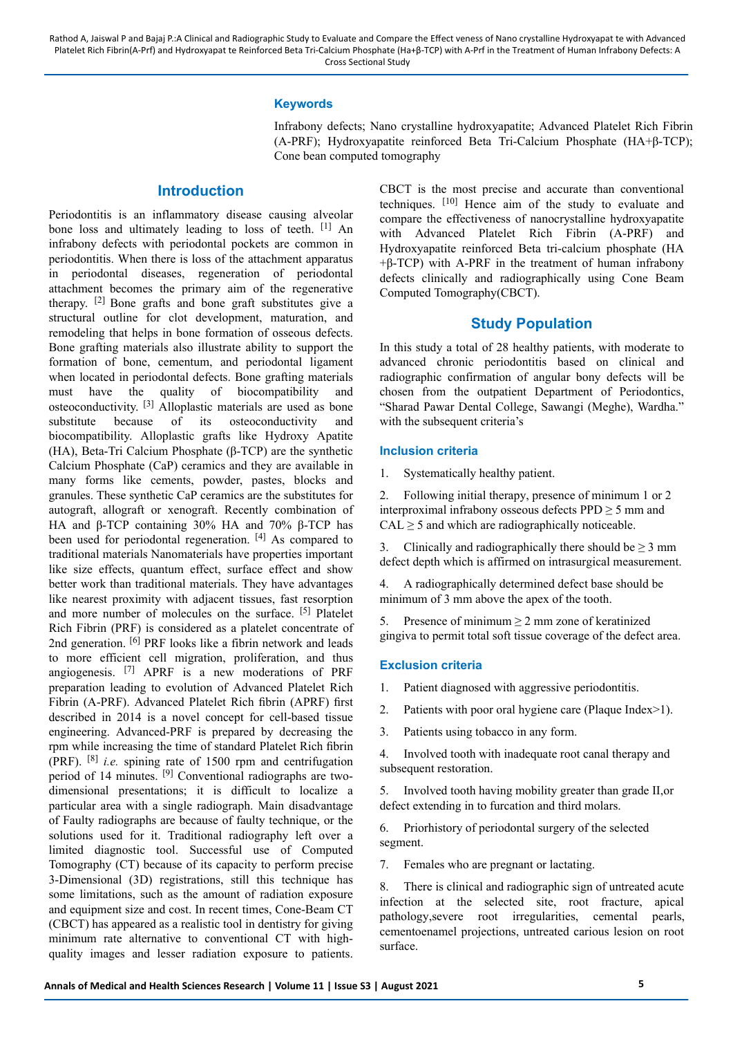## **Keywords**

Infrabony defects; Nano crystalline hydroxyapatite; Advanced Platelet Rich Fibrin (A-PRF); Hydroxyapatite reinforced Beta Tri-Calcium Phosphate (HA+β-TCP); Cone bean computed tomography

## **Introduction**

Periodontitis is an inflammatory disease causing alveolar bone loss and ultimately leading to loss of teeth. [1] An infrabony defects with periodontal pockets are common in periodontitis. When there is loss of the attachment apparatus in periodontal diseases, regeneration of periodontal attachment becomes the primary aim of the regenerative therapy. [2] Bone grafts and bone graft substitutes give a structural outline for clot development, maturation, and remodeling that helps in bone formation of osseous defects. Bone grafting materials also illustrate ability to support the formation of bone, cementum, and periodontal ligament when located in periodontal defects. Bone grafting materials must have the quality of biocompatibility and  $\overline{\text{ostecon}}$  ductivity.  $^{[3]}$  Alloplastic materials are used as bone substitute because of its osteoconductivity and biocompatibility. Alloplastic grafts like Hydroxy Apatite (HA), Beta-Tri Calcium Phosphate (β-TCP) are the synthetic Calcium Phosphate (CaP) ceramics and they are available in many forms like cements, powder, pastes, blocks and granules. These synthetic CaP ceramics are the substitutes for autograft, allograft or xenograft. Recently combination of HA and β-TCP containing 30% HA and 70% β-TCP has been used for periodontal regeneration. [4] As compared to traditional materials Nanomaterials have properties important like size effects, quantum effect, surface effect and show better work than traditional materials. They have advantages like nearest proximity with adjacent tissues, fast resorption and more number of molecules on the surface. [5] Platelet Rich Fibrin (PRF) is considered as a platelet concentrate of 2nd generation. <sup>[6]</sup> PRF looks like a fibrin network and leads to more efficient cell migration, proliferation, and thus angiogenesis. [7] APRF is a new moderations of PRF preparation leading to evolution of Advanced Platelet Rich Fibrin (A-PRF). Advanced Platelet Rich fibrin (APRF) first described in 2014 is a novel concept for cell-based tissue engineering. Advanced-PRF is prepared by decreasing the rpm while increasing the time of standard Platelet Rich fibrin (PRF). [8] *i.e.* spining rate of 1500 rpm and centrifugation period of 14 minutes. [9] Conventional radiographs are twodimensional presentations; it is difficult to localize a particular area with a single radiograph. Main disadvantage of Faulty radiographs are because of faulty technique, or the solutions used for it. Traditional radiography left over a limited diagnostic tool. Successful use of Computed Tomography (CT) because of its capacity to perform precise 3-Dimensional (3D) registrations, still this technique has some limitations, such as the amount of radiation exposure and equipment size and cost. In recent times, Cone-Beam CT (CBCT) has appeared as a realistic tool in dentistry for giving minimum rate alternative to conventional CT with highquality images and lesser radiation exposure to patients.

CBCT is the most precise and accurate than conventional techniques.  $[10]$  Hence aim of the study to evaluate and compare the effectiveness of nanocrystalline hydroxyapatite with Advanced Platelet Rich Fibrin (A-PRF) and Hydroxyapatite reinforced Beta tri-calcium phosphate (HA  $+β$ -TCP) with A-PRF in the treatment of human infrabony defects clinically and radiographically using Cone Beam Computed Tomography(CBCT).

## **Study Population**

In this study a total of 28 healthy patients, with moderate to advanced chronic periodontitis based on clinical and radiographic confirmation of angular bony defects will be chosen from the outpatient Department of Periodontics, "Sharad Pawar Dental College, Sawangi (Meghe), Wardha." with the subsequent criteria's

## **Inclusion criteria**

1. Systematically healthy patient.

2. Following initial therapy, presence of minimum 1 or 2 interproximal infrabony osseous defects  $PPD \ge 5$  mm and  $CAL \geq 5$  and which are radiographically noticeable.

3. Clinically and radiographically there should be  $\geq 3$  mm defect depth which is affirmed on intrasurgical measurement.

4. A radiographically determined defect base should be minimum of 3 mm above the apex of the tooth.

5. Presence of minimum  $\geq 2$  mm zone of keratinized gingiva to permit total soft tissue coverage of the defect area.

#### **Exclusion criteria**

1. Patient diagnosed with aggressive periodontitis.

- 2. Patients with poor oral hygiene care (Plaque Index>1).
- 3. Patients using tobacco in any form.

4. Involved tooth with inadequate root canal therapy and subsequent restoration.

5. Involved tooth having mobility greater than grade II,or defect extending in to furcation and third molars.

6. Priorhistory of periodontal surgery of the selected segment.

7. Females who are pregnant or lactating.

8. There is clinical and radiographic sign of untreated acute infection at the selected site, root fracture, apical pathology,severe root irregularities, cemental pearls, cementoenamel projections, untreated carious lesion on root surface.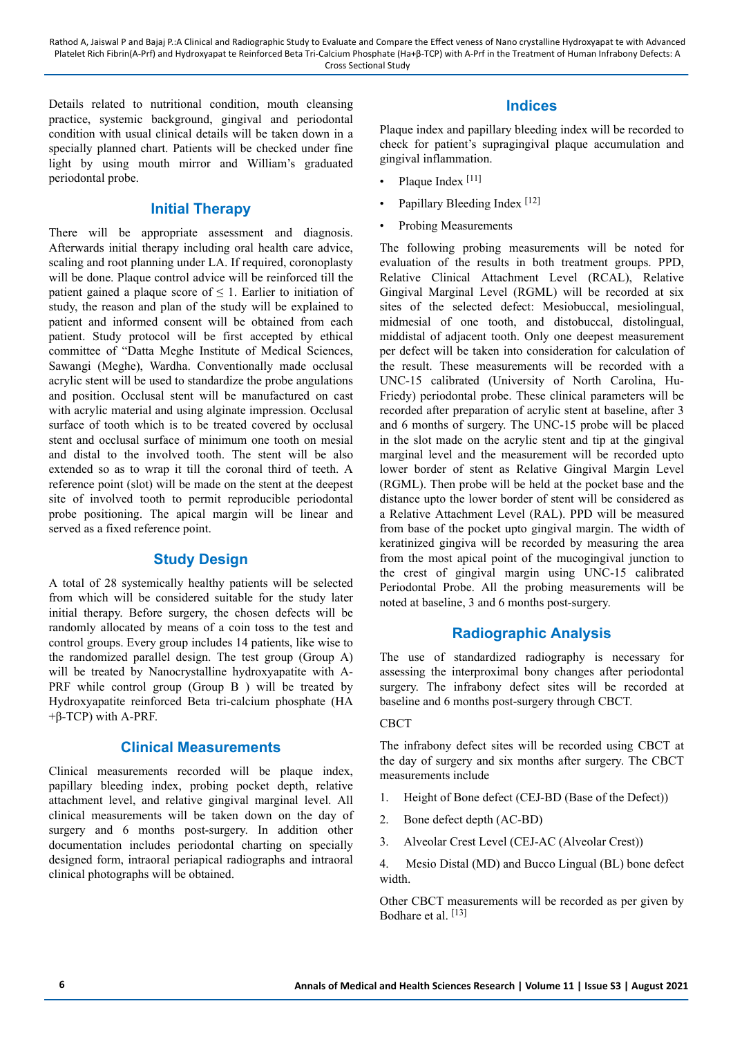Rathod A, Jaiswal P and Bajaj P.:A Clinical and Radiographic Study to Evaluate and Compare the Effect veness of Nano crystalline Hydroxyapat te with Advanced Platelet Rich Fibrin(A-Prf) and Hydroxyapat te Reinforced Beta Tri-Calcium Phosphate (Ha+β-TCP) with A-Prf in the Treatment of Human Infrabony Defects: A Cross Sectional Study

Details related to nutritional condition, mouth cleansing practice, systemic background, gingival and periodontal condition with usual clinical details will be taken down in a specially planned chart. Patients will be checked under fine light by using mouth mirror and William's graduated periodontal probe.

## **Initial Therapy**

There will be appropriate assessment and diagnosis. Afterwards initial therapy including oral health care advice, scaling and root planning under LA. If required, coronoplasty will be done. Plaque control advice will be reinforced till the patient gained a plaque score of  $\leq 1$ . Earlier to initiation of study, the reason and plan of the study will be explained to patient and informed consent will be obtained from each patient. Study protocol will be first accepted by ethical committee of "Datta Meghe Institute of Medical Sciences, Sawangi (Meghe), Wardha. Conventionally made occlusal acrylic stent will be used to standardize the probe angulations and position. Occlusal stent will be manufactured on cast with acrylic material and using alginate impression. Occlusal surface of tooth which is to be treated covered by occlusal stent and occlusal surface of minimum one tooth on mesial and distal to the involved tooth. The stent will be also extended so as to wrap it till the coronal third of teeth. A reference point (slot) will be made on the stent at the deepest site of involved tooth to permit reproducible periodontal probe positioning. The apical margin will be linear and served as a fixed reference point.

## **Study Design**

A total of 28 systemically healthy patients will be selected from which will be considered suitable for the study later initial therapy. Before surgery, the chosen defects will be randomly allocated by means of a coin toss to the test and control groups. Every group includes 14 patients, like wise to the randomized parallel design. The test group (Group A) will be treated by Nanocrystalline hydroxyapatite with A-PRF while control group (Group B) will be treated by Hydroxyapatite reinforced Beta tri-calcium phosphate (HA  $+β$ -TCP) with A-PRF.

## **Clinical Measurements**

Clinical measurements recorded will be plaque index, papillary bleeding index, probing pocket depth, relative attachment level, and relative gingival marginal level. All clinical measurements will be taken down on the day of surgery and 6 months post-surgery. In addition other documentation includes periodontal charting on specially designed form, intraoral periapical radiographs and intraoral clinical photographs will be obtained.

## **Indices**

Plaque index and papillary bleeding index will be recorded to check for patient's supragingival plaque accumulation and gingival inflammation.

- Plaque Index<sup>[11]</sup>
- Papillary Bleeding Index [12]
- Probing Measurements

The following probing measurements will be noted for evaluation of the results in both treatment groups. PPD, Relative Clinical Attachment Level (RCAL), Relative Gingival Marginal Level (RGML) will be recorded at six sites of the selected defect: Mesiobuccal, mesiolingual, midmesial of one tooth, and distobuccal, distolingual, middistal of adjacent tooth. Only one deepest measurement per defect will be taken into consideration for calculation of the result. These measurements will be recorded with a UNC-15 calibrated (University of North Carolina, Hu-Friedy) periodontal probe. These clinical parameters will be recorded after preparation of acrylic stent at baseline, after 3 and 6 months of surgery. The UNC-15 probe will be placed in the slot made on the acrylic stent and tip at the gingival marginal level and the measurement will be recorded upto lower border of stent as Relative Gingival Margin Level (RGML). Then probe will be held at the pocket base and the distance upto the lower border of stent will be considered as a Relative Attachment Level (RAL). PPD will be measured from base of the pocket upto gingival margin. The width of keratinized gingiva will be recorded by measuring the area from the most apical point of the mucogingival junction to the crest of gingival margin using UNC-15 calibrated Periodontal Probe. All the probing measurements will be noted at baseline, 3 and 6 months post-surgery.

## **Radiographic Analysis**

The use of standardized radiography is necessary for assessing the interproximal bony changes after periodontal surgery. The infrabony defect sites will be recorded at baseline and 6 months post-surgery through CBCT.

## CBCT

The infrabony defect sites will be recorded using CBCT at the day of surgery and six months after surgery. The CBCT measurements include

- 1. Height of Bone defect (CEJ-BD (Base of the Defect))
- 2. Bone defect depth (AC-BD)
- 3. Alveolar Crest Level (CEJ-AC (Alveolar Crest))

4. Mesio Distal (MD) and Bucco Lingual (BL) bone defect width.

Other CBCT measurements will be recorded as per given by Bodhare et al. [13]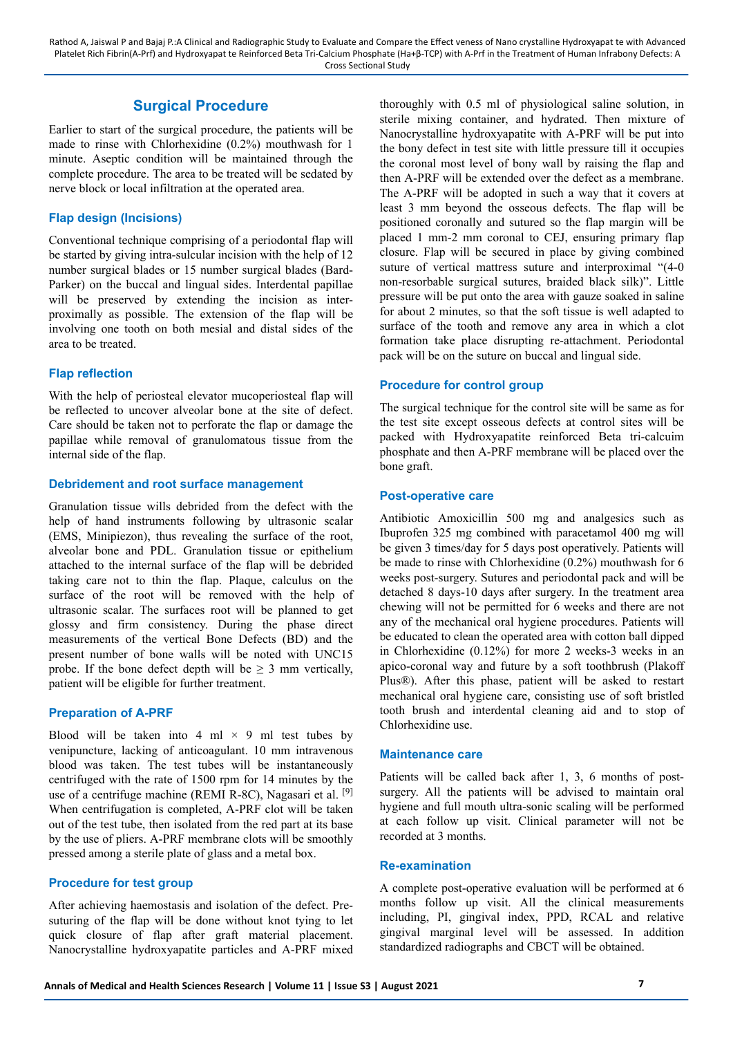# **Surgical Procedure**

Earlier to start of the surgical procedure, the patients will be made to rinse with Chlorhexidine (0.2%) mouthwash for 1 minute. Aseptic condition will be maintained through the complete procedure. The area to be treated will be sedated by nerve block or local infiltration at the operated area.

## **Flap design (Incisions)**

Conventional technique comprising of a periodontal flap will be started by giving intra-sulcular incision with the help of 12 number surgical blades or 15 number surgical blades (Bard-Parker) on the buccal and lingual sides. Interdental papillae will be preserved by extending the incision as interproximally as possible. The extension of the flap will be involving one tooth on both mesial and distal sides of the area to be treated.

## **Flap reflection**

With the help of periosteal elevator mucoperiosteal flap will be reflected to uncover alveolar bone at the site of defect. Care should be taken not to perforate the flap or damage the papillae while removal of granulomatous tissue from the internal side of the flap.

## **Debridement and root surface management**

Granulation tissue wills debrided from the defect with the help of hand instruments following by ultrasonic scalar (EMS, Minipiezon), thus revealing the surface of the root, alveolar bone and PDL. Granulation tissue or epithelium attached to the internal surface of the flap will be debrided taking care not to thin the flap. Plaque, calculus on the surface of the root will be removed with the help of ultrasonic scalar. The surfaces root will be planned to get glossy and firm consistency. During the phase direct measurements of the vertical Bone Defects (BD) and the present number of bone walls will be noted with UNC15 probe. If the bone defect depth will be  $\geq 3$  mm vertically, patient will be eligible for further treatment.

## **Preparation of A-PRF**

Blood will be taken into 4 ml  $\times$  9 ml test tubes by venipuncture, lacking of anticoagulant. 10 mm intravenous blood was taken. The test tubes will be instantaneously centrifuged with the rate of 1500 rpm for 14 minutes by the use of a centrifuge machine (REMI R-8C), Nagasari et al.  $[9]$ When centrifugation is completed, A-PRF clot will be taken out of the test tube, then isolated from the red part at its base by the use of pliers. A-PRF membrane clots will be smoothly pressed among a sterile plate of glass and a metal box.

## **Procedure for test group**

After achieving haemostasis and isolation of the defect. Presuturing of the flap will be done without knot tying to let quick closure of flap after graft material placement. Nanocrystalline hydroxyapatite particles and A-PRF mixed thoroughly with 0.5 ml of physiological saline solution, in sterile mixing container, and hydrated. Then mixture of Nanocrystalline hydroxyapatite with A-PRF will be put into the bony defect in test site with little pressure till it occupies the coronal most level of bony wall by raising the flap and then A-PRF will be extended over the defect as a membrane. The A-PRF will be adopted in such a way that it covers at least 3 mm beyond the osseous defects. The flap will be positioned coronally and sutured so the flap margin will be placed 1 mm-2 mm coronal to CEJ, ensuring primary flap closure. Flap will be secured in place by giving combined suture of vertical mattress suture and interproximal "(4-0 non-resorbable surgical sutures, braided black silk)". Little pressure will be put onto the area with gauze soaked in saline for about 2 minutes, so that the soft tissue is well adapted to surface of the tooth and remove any area in which a clot formation take place disrupting re-attachment. Periodontal pack will be on the suture on buccal and lingual side.

## **Procedure for control group**

The surgical technique for the control site will be same as for the test site except osseous defects at control sites will be packed with Hydroxyapatite reinforced Beta tri-calcuim phosphate and then A-PRF membrane will be placed over the bone graft.

## **Post-operative care**

Antibiotic Amoxicillin 500 mg and analgesics such as Ibuprofen 325 mg combined with paracetamol 400 mg will be given 3 times/day for 5 days post operatively. Patients will be made to rinse with Chlorhexidine (0.2%) mouthwash for 6 weeks post-surgery. Sutures and periodontal pack and will be detached 8 days-10 days after surgery. In the treatment area chewing will not be permitted for 6 weeks and there are not any of the mechanical oral hygiene procedures. Patients will be educated to clean the operated area with cotton ball dipped in Chlorhexidine (0.12%) for more 2 weeks-3 weeks in an apico-coronal way and future by a soft toothbrush (Plakoff Plus®). After this phase, patient will be asked to restart mechanical oral hygiene care, consisting use of soft bristled tooth brush and interdental cleaning aid and to stop of Chlorhexidine use.

## **Maintenance care**

Patients will be called back after 1, 3, 6 months of postsurgery. All the patients will be advised to maintain oral hygiene and full mouth ultra-sonic scaling will be performed at each follow up visit. Clinical parameter will not be recorded at 3 months.

## **Re-examination**

A complete post-operative evaluation will be performed at 6 months follow up visit. All the clinical measurements including, PI, gingival index, PPD, RCAL and relative gingival marginal level will be assessed. In addition standardized radiographs and CBCT will be obtained.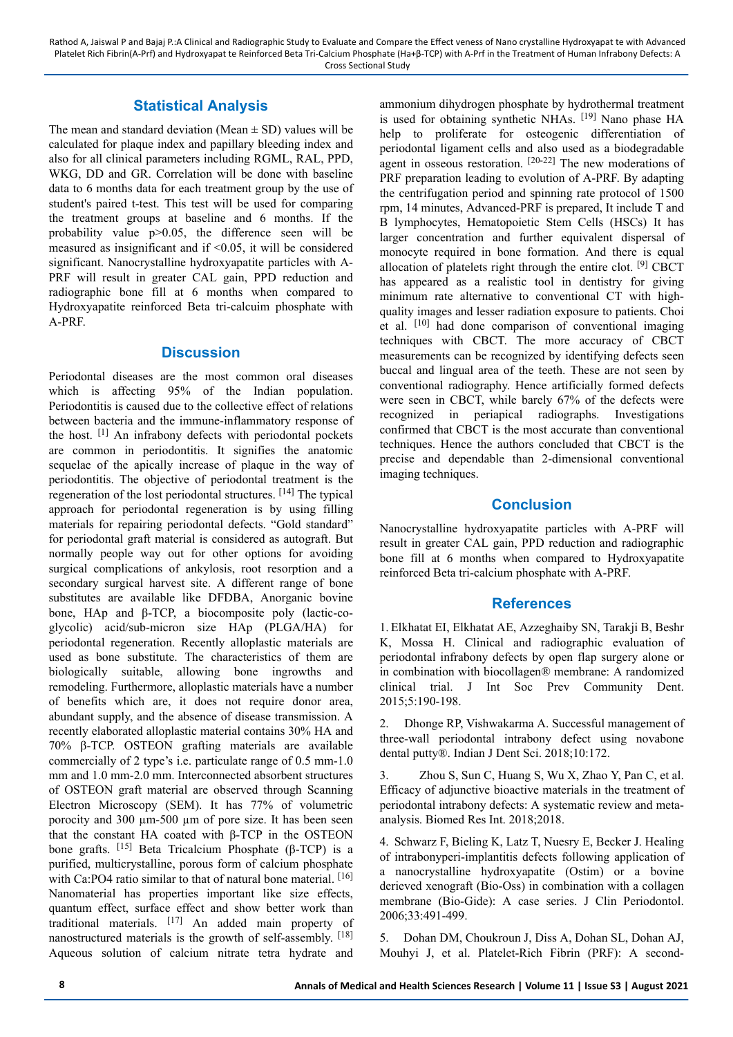# **Statistical Analysis**

The mean and standard deviation (Mean  $\pm$  SD) values will be calculated for plaque index and papillary bleeding index and also for all clinical parameters including RGML, RAL, PPD, WKG, DD and GR. Correlation will be done with baseline data to 6 months data for each treatment group by the use of student's paired t-test. This test will be used for comparing the treatment groups at baseline and 6 months. If the probability value p>0.05, the difference seen will be measured as insignificant and if <0.05, it will be considered significant. Nanocrystalline hydroxyapatite particles with A-PRF will result in greater CAL gain, PPD reduction and radiographic bone fill at 6 months when compared to Hydroxyapatite reinforced Beta tri-calcuim phosphate with A-PRF.

## **Discussion**

Periodontal diseases are the most common oral diseases which is affecting 95% of the Indian population. Periodontitis is caused due to the collective effect of relations between bacteria and the immune-inflammatory response of the host. [1] An infrabony defects with periodontal pockets are common in periodontitis. It signifies the anatomic sequelae of the apically increase of plaque in the way of periodontitis. The objective of periodontal treatment is the regeneration of the lost periodontal structures. [14] The typical approach for periodontal regeneration is by using filling materials for repairing periodontal defects. "Gold standard" for periodontal graft material is considered as autograft. But normally people way out for other options for avoiding surgical complications of ankylosis, root resorption and a secondary surgical harvest site. A different range of bone substitutes are available like DFDBA, Anorganic bovine bone, HAp and β-TCP, a biocomposite poly (lactic-coglycolic) acid/sub-micron size HAp (PLGA/HA) for periodontal regeneration. Recently alloplastic materials are used as bone substitute. The characteristics of them are biologically suitable, allowing bone ingrowths and remodeling. Furthermore, alloplastic materials have a number of benefits which are, it does not require donor area, abundant supply, and the absence of disease transmission. A recently elaborated alloplastic material contains 30% HA and 70% β-TCP. OSTEON grafting materials are available commercially of 2 type's i.e. particulate range of 0.5 mm-1.0 mm and 1.0 mm-2.0 mm. Interconnected absorbent structures of OSTEON graft material are observed through Scanning Electron Microscopy (SEM). It has 77% of volumetric porocity and 300 µm-500 µm of pore size. It has been seen that the constant HA coated with β-TCP in the OSTEON bone grafts. [15] Beta Tricalcium Phosphate (β-TCP) is a purified, multicrystalline, porous form of calcium phosphate with Ca:PO4 ratio similar to that of natural bone material. [16] Nanomaterial has properties important like size effects, quantum effect, surface effect and show better work than traditional materials. [17] An added main property of nanostructured materials is the growth of self-assembly. [18] Aqueous solution of calcium nitrate tetra hydrate and ammonium dihydrogen phosphate by hydrothermal treatment is used for obtaining synthetic NHAs. [19] Nano phase HA help to proliferate for osteogenic differentiation of periodontal ligament cells and also used as a biodegradable agent in osseous restoration. [20-22] The new moderations of PRF preparation leading to evolution of A-PRF. By adapting the centrifugation period and spinning rate protocol of 1500 rpm, 14 minutes, Advanced-PRF is prepared, It include T and B lymphocytes, Hematopoietic Stem Cells (HSCs) It has larger concentration and further equivalent dispersal of monocyte required in bone formation. And there is equal allocation of platelets right through the entire clot.  $[9]$  CBCT has appeared as a realistic tool in dentistry for giving minimum rate alternative to conventional CT with highquality images and lesser radiation exposure to patients. Choi et al. [10] had done comparison of conventional imaging techniques with CBCT. The more accuracy of CBCT measurements can be recognized by identifying defects seen buccal and lingual area of the teeth. These are not seen by conventional radiography. Hence artificially formed defects were seen in CBCT, while barely 67% of the defects were recognized in periapical radiographs. Investigations confirmed that CBCT is the most accurate than conventional techniques. Hence the authors concluded that CBCT is the precise and dependable than 2-dimensional conventional imaging techniques.

# **Conclusion**

Nanocrystalline hydroxyapatite particles with A-PRF will result in greater CAL gain, PPD reduction and radiographic bone fill at 6 months when compared to Hydroxyapatite reinforced Beta tri-calcium phosphate with A-PRF.

# **References**

1. Elkhatat EI, Elkhatat AE, Azzeghaiby SN, Tarakji B, Beshr K, Mossa H. Clinical and radiographic evaluation of periodontal infrabony defects by open flap surgery alone or in combination with biocollagen® membrane: A randomized clinical trial. J Int Soc Prev Community Dent. 2015;5:190-198.

2. Dhonge RP, Vishwakarma A. Successful management of three-wall periodontal intrabony defect using novabone dental putty®. Indian J Dent Sci. 2018;10:172.

3. Zhou S, Sun C, Huang S, Wu X, Zhao Y, Pan C, et al. Efficacy of adjunctive bioactive materials in the treatment of periodontal intrabony defects: A systematic review and metaanalysis. Biomed Res Int. 2018;2018.

4. Schwarz F, Bieling K, Latz T, Nuesry E, Becker J. Healing of intrabonyperi-implantitis defects following application of a nanocrystalline hydroxyapatite (Ostim) or a bovine derieved xenograft (Bio-Oss) in combination with a collagen membrane (Bio-Gide): A case series. J Clin Periodontol. 2006;33:491-499.

5. Dohan DM, Choukroun J, Diss A, Dohan SL, Dohan AJ, Mouhyi J, et al. Platelet-Rich Fibrin (PRF): A second-